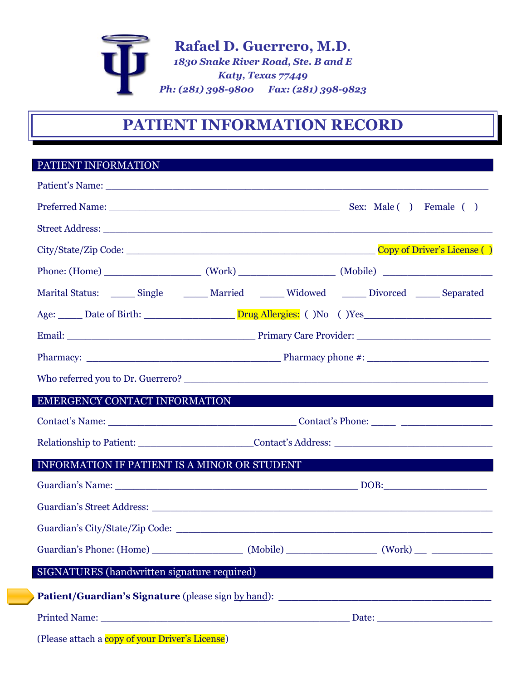

# **PATIENT INFORMATION RECORD**

## PATIENT INFORMATION

| Patient's Name: 2008                                                                                                   |                                                                                                      |                                                                                                     |  |  |  |  |  |
|------------------------------------------------------------------------------------------------------------------------|------------------------------------------------------------------------------------------------------|-----------------------------------------------------------------------------------------------------|--|--|--|--|--|
|                                                                                                                        |                                                                                                      |                                                                                                     |  |  |  |  |  |
|                                                                                                                        |                                                                                                      |                                                                                                     |  |  |  |  |  |
|                                                                                                                        |                                                                                                      |                                                                                                     |  |  |  |  |  |
|                                                                                                                        |                                                                                                      |                                                                                                     |  |  |  |  |  |
|                                                                                                                        |                                                                                                      | Marital Status: _______ Single _________ Married _______ Widowed _______ Divorced _______ Separated |  |  |  |  |  |
|                                                                                                                        |                                                                                                      |                                                                                                     |  |  |  |  |  |
|                                                                                                                        |                                                                                                      |                                                                                                     |  |  |  |  |  |
|                                                                                                                        |                                                                                                      |                                                                                                     |  |  |  |  |  |
|                                                                                                                        |                                                                                                      |                                                                                                     |  |  |  |  |  |
| <b>EMERGENCY CONTACT INFORMATION EXECUTIVE SERVICE SERVICE SERVICE SERVICE SERVICE SERVICE SERVICE SERVICE SERVICE</b> |                                                                                                      |                                                                                                     |  |  |  |  |  |
|                                                                                                                        |                                                                                                      |                                                                                                     |  |  |  |  |  |
|                                                                                                                        | Relationship to Patient: ___________________________Contact's Address: _____________________________ |                                                                                                     |  |  |  |  |  |
| INFORMATION IF PATIENT IS A MINOR OR STUDENT                                                                           |                                                                                                      |                                                                                                     |  |  |  |  |  |
|                                                                                                                        |                                                                                                      |                                                                                                     |  |  |  |  |  |
|                                                                                                                        |                                                                                                      |                                                                                                     |  |  |  |  |  |
|                                                                                                                        |                                                                                                      |                                                                                                     |  |  |  |  |  |
|                                                                                                                        |                                                                                                      |                                                                                                     |  |  |  |  |  |
| SIGNATURES (handwritten signature required)                                                                            |                                                                                                      |                                                                                                     |  |  |  |  |  |
| Patient/Guardian's Signature (please sign by hand): _____________________________                                      |                                                                                                      |                                                                                                     |  |  |  |  |  |
|                                                                                                                        |                                                                                                      |                                                                                                     |  |  |  |  |  |
|                                                                                                                        |                                                                                                      |                                                                                                     |  |  |  |  |  |

(Please attach a **copy of your Driver's License**)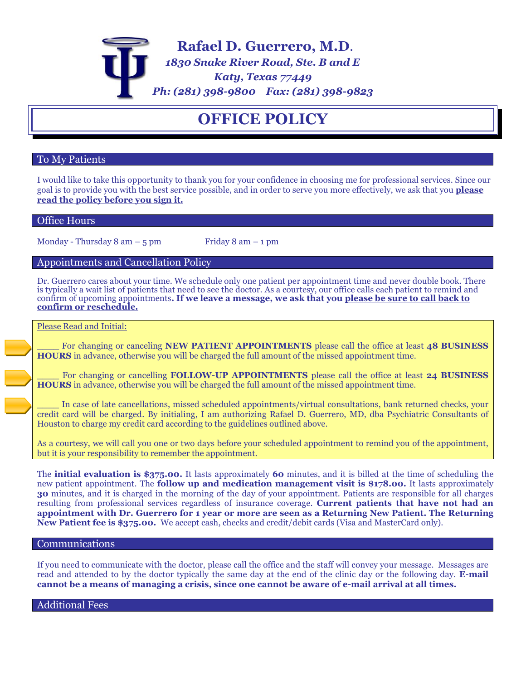

## **OFFICE POLICY**

### To My Patients

I would like to take this opportunity to thank you for your confidence in choosing me for professional services. Since our goal is to provide you with the best service possible, and in order to serve you more effectively, we ask that you **please read the policy before you sign it.**

### Office Hours

Monday - Thursday  $8 \text{ am} - 5 \text{ pm}$  Friday  $8 \text{ am} - 1 \text{ pm}$ 

### Appointments and Cancellation Policy

Dr. Guerrero cares about your time. We schedule only one patient per appointment time and never double book. There is typically a wait list of patients that need to see the doctor. As a courtesy, our office calls each patient to remind and confirm of upcoming appointments**. If we leave a message, we ask that you please be sure to call back to confirm or reschedule.**

### Please Read and Initial:

\_\_\_\_ For changing or canceling **NEW PATIENT APPOINTMENTS** please call the office at least **48 BUSINESS HOURS** in advance, otherwise you will be charged the full amount of the missed appointment time.

\_\_\_\_ For changing or cancelling **FOLLOW-UP APPOINTMENTS** please call the office at least **24 BUSINESS HOURS** in advance, otherwise you will be charged the full amount of the missed appointment time.

In case of late cancellations, missed scheduled appointments/virtual consultations, bank returned checks, your credit card will be charged. By initialing, I am authorizing Rafael D. Guerrero, MD, dba Psychiatric Consultants of Houston to charge my credit card according to the guidelines outlined above.

As a courtesy, we will call you one or two days before your scheduled appointment to remind you of the appointment, but it is your responsibility to remember the appointment.

The **initial evaluation is \$375.00.** It lasts approximately **60** minutes, and it is billed at the time of scheduling the new patient appointment. The **follow up and medication management visit is \$178.00.** It lasts approximately **30** minutes, and it is charged in the morning of the day of your appointment. Patients are responsible for all charges resulting from professional services regardless of insurance coverage. **Current patients that have not had an appointment with Dr. Guerrero for 1 year or more are seen as a Returning New Patient. The Returning New Patient fee is \$375.00.** We accept cash, checks and credit/debit cards (Visa and MasterCard only).

### Communications

If you need to communicate with the doctor, please call the office and the staff will convey your message. Messages are read and attended to by the doctor typically the same day at the end of the clinic day or the following day. **E-mail cannot be a means of managing a crisis, since one cannot be aware of e-mail arrival at all times.**

Additional Fees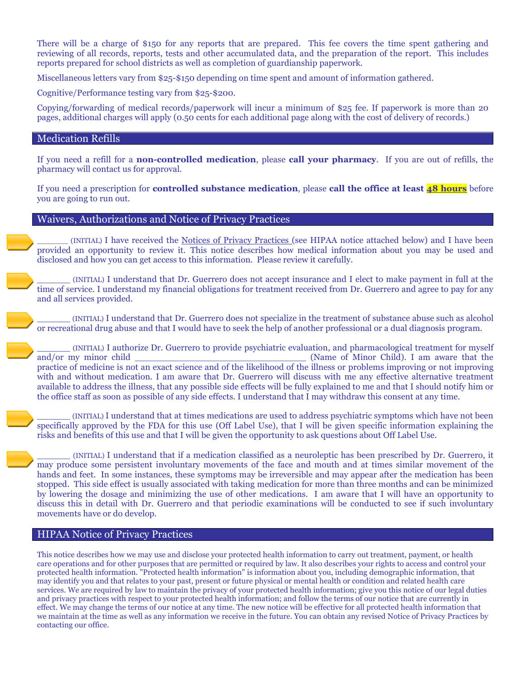There will be a charge of \$150 for any reports that are prepared. This fee covers the time spent gathering and reviewing of all records, reports, tests and other accumulated data, and the preparation of the report. This includes reports prepared for school districts as well as completion of guardianship paperwork.

Miscellaneous letters vary from \$25-\$150 depending on time spent and amount of information gathered.

Cognitive/Performance testing vary from \$25-\$200.

Copying/forwarding of medical records/paperwork will incur a minimum of \$25 fee. If paperwork is more than 20 pages, additional charges will apply (0.50 cents for each additional page along with the cost of delivery of records.)

### Medication Refills

If you need a refill for a **non-controlled medication**, please **call your pharmacy**. If you are out of refills, the pharmacy will contact us for approval.

If you need a prescription for **controlled substance medication**, please **call the office at least 48 hours** before you are going to run out.

#### Waivers, Authorizations and Notice of Privacy Practices

\_\_\_\_\_\_\_ (INITIAL) I have received the Notices of Privacy Practices (see HIPAA notice attached below) and I have been provided an opportunity to review it. This notice describes how medical information about you may be used and disclosed and how you can get access to this information. Please review it carefully.

\_\_\_\_\_\_ (INITIAL) I understand that Dr. Guerrero does not accept insurance and I elect to make payment in full at the time of service. I understand my financial obligations for treatment received from Dr. Guerrero and agree to pay for any and all services provided.

\_\_\_\_\_\_ (INITIAL) I understand that Dr. Guerrero does not specialize in the treatment of substance abuse such as alcohol or recreational drug abuse and that I would have to seek the help of another professional or a dual diagnosis program.

\_\_\_\_\_\_ (INITIAL) I authorize Dr. Guerrero to provide psychiatric evaluation, and pharmacological treatment for myself and/or my minor child \_\_\_\_\_\_\_\_\_\_\_\_\_\_\_\_\_\_\_\_\_\_\_\_\_\_\_\_\_\_\_ (Name of Minor Child). I am aware that the practice of medicine is not an exact science and of the likelihood of the illness or problems improving or not improving with and without medication. I am aware that Dr. Guerrero will discuss with me any effective alternative treatment available to address the illness, that any possible side effects will be fully explained to me and that I should notify him or the office staff as soon as possible of any side effects. I understand that I may withdraw this consent at any time.

\_\_\_\_\_\_ (INITIAL) I understand that at times medications are used to address psychiatric symptoms which have not been specifically approved by the FDA for this use (Off Label Use), that I will be given specific information explaining the risks and benefits of this use and that I will be given the opportunity to ask questions about Off Label Use.

\_\_\_\_\_\_ (INITIAL) I understand that if a medication classified as a neuroleptic has been prescribed by Dr. Guerrero, it may produce some persistent involuntary movements of the face and mouth and at times similar movement of the hands and feet. In some instances, these symptoms may be irreversible and may appear after the medication has been stopped. This side effect is usually associated with taking medication for more than three months and can be minimized by lowering the dosage and minimizing the use of other medications. I am aware that I will have an opportunity to discuss this in detail with Dr. Guerrero and that periodic examinations will be conducted to see if such involuntary movements have or do develop.

### HIPAA Notice of Privacy Practices

This notice describes how we may use and disclose your protected health information to carry out treatment, payment, or health care operations and for other purposes that are permitted or required by law. It also describes your rights to access and control your protected health information. "Protected health information" is information about you, including demographic information, that may identify you and that relates to your past, present or future physical or mental health or condition and related health care services. We are required by law to maintain the privacy of your protected health information; give you this notice of our legal duties and privacy practices with respect to your protected health information; and follow the terms of our notice that are currently in effect. We may change the terms of our notice at any time. The new notice will be effective for all protected health information that we maintain at the time as well as any information we receive in the future. You can obtain any revised Notice of Privacy Practices by contacting our office.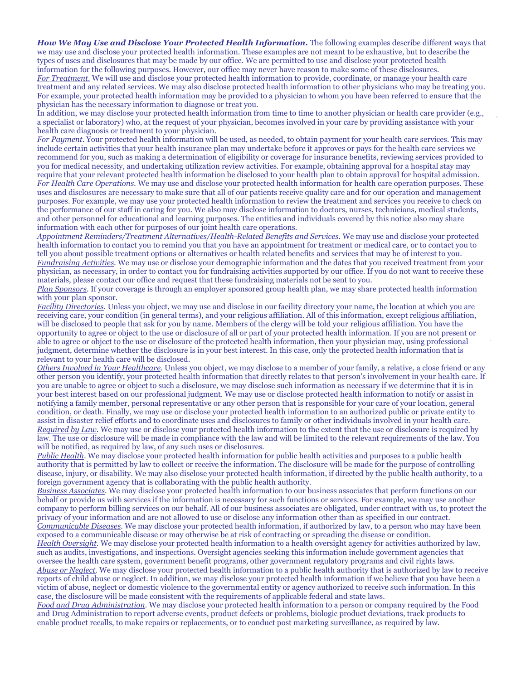*How We May Use and Disclose Your Protected Health Information.* The following examples describe different ways that we may use and disclose your protected health information. These examples are not meant to be exhaustive, but to describe the types of uses and disclosures that may be made by our office. We are permitted to use and disclose your protected health information for the following purposes. However, our office may never have reason to make some of these disclosures. *For Treatment.* We will use and disclose your protected health information to provide, coordinate, or manage your health care treatment and any related services. We may also disclose protected health information to other physicians who may be treating you. For example, your protected health information may be provided to a physician to whom you have been referred to ensure that the physician has the necessary information to diagnose or treat you.

In addition, we may disclose your protected health information from time to time to another physician or health care provider (e.g., a specialist or laboratory) who, at the request of your physician, becomes involved in your care by providing assistance with your health care diagnosis or treatment to your physician.

*For Payment.* Your protected health information will be used, as needed, to obtain payment for your health care services. This may include certain activities that your health insurance plan may undertake before it approves or pays for the health care services we recommend for you, such as making a determination of eligibility or coverage for insurance benefits, reviewing services provided to you for medical necessity, and undertaking utilization review activities. For example, obtaining approval for a hospital stay may require that your relevant protected health information be disclosed to your health plan to obtain approval for hospital admission. *For Health Care Operations.* We may use and disclose your protected health information for health care operation purposes. These uses and disclosures are necessary to make sure that all of our patients receive quality care and for our operation and management purposes. For example, we may use your protected health information to review the treatment and services you receive to check on the performance of our staff in caring for you. We also may disclose information to doctors, nurses, technicians, medical students, and other personnel for educational and learning purposes. The entities and individuals covered by this notice also may share information with each other for purposes of our joint health care operations.

*Appointment Reminders/Treatment Alternatives/Health-Related Benefits and Services.* We may use and disclose your protected health information to contact you to remind you that you have an appointment for treatment or medical care, or to contact you to tell you about possible treatment options or alternatives or health related benefits and services that may be of interest to you. *Fundraising Activities.* We may use or disclose your demographic information and the dates that you received treatment from your physician, as necessary, in order to contact you for fundraising activities supported by our office. If you do not want to receive these materials, please contact our office and request that these fundraising materials not be sent to you.

*Plan Sponsors.* If your coverage is through an employer sponsored group health plan, we may share protected health information with your plan sponsor.

*Facility Directories.* Unless you object, we may use and disclose in our facility directory your name, the location at which you are receiving care, your condition (in general terms), and your religious affiliation. All of this information, except religious affiliation, will be disclosed to people that ask for you by name. Members of the clergy will be told your religious affiliation. You have the opportunity to agree or object to the use or disclosure of all or part of your protected health information. If you are not present or able to agree or object to the use or disclosure of the protected health information, then your physician may, using professional judgment, determine whether the disclosure is in your best interest. In this case, only the protected health information that is relevant to your health care will be disclosed.

*Others Involved in Your Healthcare.* Unless you object, we may disclose to a member of your family, a relative, a close friend or any other person you identify, your protected health information that directly relates to that person's involvement in your health care. If you are unable to agree or object to such a disclosure, we may disclose such information as necessary if we determine that it is in your best interest based on our professional judgment. We may use or disclose protected health information to notify or assist in notifying a family member, personal representative or any other person that is responsible for your care of your location, general condition, or death. Finally, we may use or disclose your protected health information to an authorized public or private entity to assist in disaster relief efforts and to coordinate uses and disclosures to family or other individuals involved in your health care. *Required by Law.* We may use or disclose your protected health information to the extent that the use or disclosure is required by law. The use or disclosure will be made in compliance with the law and will be limited to the relevant requirements of the law. You will be notified, as required by law, of any such uses or disclosures.

*Public Health.* We may disclose your protected health information for public health activities and purposes to a public health authority that is permitted by law to collect or receive the information. The disclosure will be made for the purpose of controlling disease, injury, or disability. We may also disclose your protected health information, if directed by the public health authority, to a foreign government agency that is collaborating with the public health authority.

*Business Associates.* We may disclose your protected health information to our business associates that perform functions on our behalf or provide us with services if the information is necessary for such functions or services. For example, we may use another company to perform billing services on our behalf. All of our business associates are obligated, under contract with us, to protect the privacy of your information and are not allowed to use or disclose any information other than as specified in our contract. *Communicable Diseases.* We may disclose your protected health information, if authorized by law, to a person who may have been exposed to a communicable disease or may otherwise be at risk of contracting or spreading the disease or condition.

*Health Oversight.* We may disclose your protected health information to a health oversight agency for activities authorized by law, such as audits, investigations, and inspections. Oversight agencies seeking this information include government agencies that oversee the health care system, government benefit programs, other government regulatory programs and civil rights laws. *Abuse or Neglect.* We may disclose your protected health information to a public health authority that is authorized by law to receive reports of child abuse or neglect. In addition, we may disclose your protected health information if we believe that you have been a victim of abuse, neglect or domestic violence to the governmental entity or agency authorized to receive such information. In this case, the disclosure will be made consistent with the requirements of applicable federal and state laws.

*Food and Drug Administration.* We may disclose your protected health information to a person or company required by the Food and Drug Administration to report adverse events, product defects or problems, biologic product deviations, track products to enable product recalls, to make repairs or replacements, or to conduct post marketing surveillance, as required by law.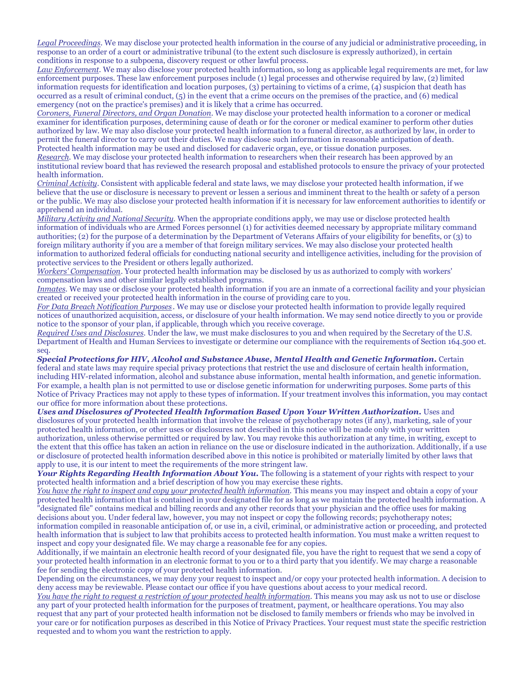*Legal Proceedings.* We may disclose your protected health information in the course of any judicial or administrative proceeding, in response to an order of a court or administrative tribunal (to the extent such disclosure is expressly authorized), in certain conditions in response to a subpoena, discovery request or other lawful process.

*Law Enforcement.* We may also disclose your protected health information, so long as applicable legal requirements are met, for law enforcement purposes. These law enforcement purposes include (1) legal processes and otherwise required by law, (2) limited information requests for identification and location purposes, (3) pertaining to victims of a crime, (4) suspicion that death has occurred as a result of criminal conduct, (5) in the event that a crime occurs on the premises of the practice, and (6) medical emergency (not on the practice's premises) and it is likely that a crime has occurred.

*Coroners, Funeral Directors, and Organ Donation.* We may disclose your protected health information to a coroner or medical examiner for identification purposes, determining cause of death or for the coroner or medical examiner to perform other duties authorized by law. We may also disclose your protected health information to a funeral director, as authorized by law, in order to permit the funeral director to carry out their duties. We may disclose such information in reasonable anticipation of death. Protected health information may be used and disclosed for cadaveric organ, eye, or tissue donation purposes.

*Research.* We may disclose your protected health information to researchers when their research has been approved by an institutional review board that has reviewed the research proposal and established protocols to ensure the privacy of your protected health information.

*Criminal Activity.* Consistent with applicable federal and state laws, we may disclose your protected health information, if we believe that the use or disclosure is necessary to prevent or lessen a serious and imminent threat to the health or safety of a person or the public. We may also disclose your protected health information if it is necessary for law enforcement authorities to identify or apprehend an individual.

*Military Activity and National Security.* When the appropriate conditions apply, we may use or disclose protected health information of individuals who are Armed Forces personnel (1) for activities deemed necessary by appropriate military command authorities; (2) for the purpose of a determination by the Department of Veterans Affairs of your eligibility for benefits, or (3) to foreign military authority if you are a member of that foreign military services. We may also disclose your protected health information to authorized federal officials for conducting national security and intelligence activities, including for the provision of protective services to the President or others legally authorized.

*Workers' Compensation*. Your protected health information may be disclosed by us as authorized to comply with workers' compensation laws and other similar legally established programs.

*Inmates.* We may use or disclose your protected health information if you are an inmate of a correctional facility and your physician created or received your protected health information in the course of providing care to you.

*For Data Breach Notification Purposes .* We may use or disclose your protected health information to provide legally required notices of unauthorized acquisition, access, or disclosure of your health information. We may send notice directly to you or provide notice to the sponsor of your plan, if applicable, through which you receive coverage.

*Required Uses and Disclosures.* Under the law, we must make disclosures to you and when required by the Secretary of the U.S. Department of Health and Human Services to investigate or determine our compliance with the requirements of Section 164.500 et. seq.

*Special Protections for HIV, Alcohol and Substance Abuse, Mental Health and Genetic Information.* Certain federal and state laws may require special privacy protections that restrict the use and disclosure of certain health information, including HIV-related information, alcohol and substance abuse information, mental health information, and genetic information. For example, a health plan is not permitted to use or disclose genetic information for underwriting purposes. Some parts of this Notice of Privacy Practices may not apply to these types of information. If your treatment involves this information, you may contact our office for more information about these protections.

*Uses and Disclosures of Protected Health Information Based Upon Your Written Authorization.* Uses and disclosures of your protected health information that involve the release of psychotherapy notes (if any), marketing, sale of your protected health information, or other uses or disclosures not described in this notice will be made only with your written authorization, unless otherwise permitted or required by law. You may revoke this authorization at any time, in writing, except to the extent that this office has taken an action in reliance on the use or disclosure indicated in the authorization. Additionally, if a use or disclosure of protected health information described above in this notice is prohibited or materially limited by other laws that apply to use, it is our intent to meet the requirements of the more stringent law.

Your *Rights Regarding Health Information About You*. The following is a statement of your rights with respect to your protected health information and a brief description of how you may exercise these rights.

*You have the right to inspect and copy your protected health information.* This means you may inspect and obtain a copy of your protected health information that is contained in your designated file for as long as we maintain the protected health information. A "designated file" contains medical and billing records and any other records that your physician and the office uses for making decisions about you. Under federal law, however, you may not inspect or copy the following records; psychotherapy notes; information compiled in reasonable anticipation of, or use in, a civil, criminal, or administrative action or proceeding, and protected health information that is subject to law that prohibits access to protected health information. You must make a written request to inspect and copy your designated file. We may charge a reasonable fee for any copies.

Additionally, if we maintain an electronic health record of your designated file, you have the right to request that we send a copy of your protected health information in an electronic format to you or to a third party that you identify. We may charge a reasonable fee for sending the electronic copy of your protected health information.

Depending on the circumstances, we may deny your request to inspect and/or copy your protected health information. A decision to deny access may be reviewable. Please contact our office if you have questions about access to your medical record.

*You have the right to request a restriction of your protected health information.* This means you may ask us not to use or disclose any part of your protected health information for the purposes of treatment, payment, or healthcare operations. You may also request that any part of your protected health information not be disclosed to family members or friends who may be involved in your care or for notification purposes as described in this Notice of Privacy Practices. Your request must state the specific restriction requested and to whom you want the restriction to apply.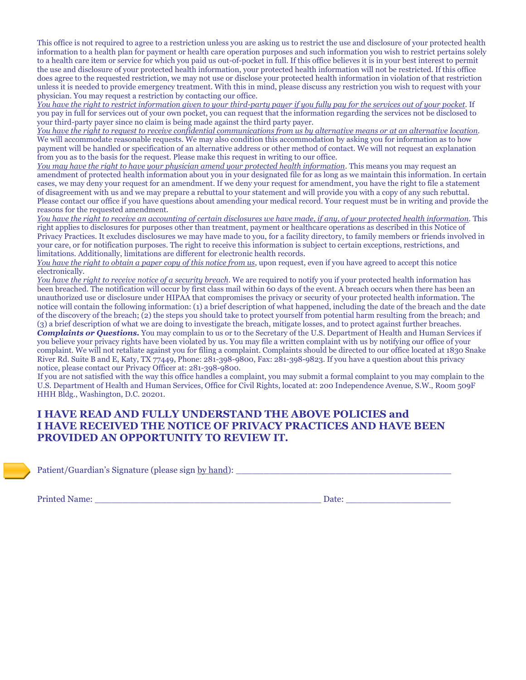This office is not required to agree to a restriction unless you are asking us to restrict the use and disclosure of your protected health information to a health plan for payment or health care operation purposes and such information you wish to restrict pertains solely to a health care item or service for which you paid us out-of-pocket in full. If this office believes it is in your best interest to permit the use and disclosure of your protected health information, your protected health information will not be restricted. If this office does agree to the requested restriction, we may not use or disclose your protected health information in violation of that restriction unless it is needed to provide emergency treatment. With this in mind, please discuss any restriction you wish to request with your physician. You may request a restriction by contacting our office.

*You have the right to restrict information given to your third-party payer if you fully pay for the services out of your pocket.* If you pay in full for services out of your own pocket, you can request that the information regarding the services not be disclosed to your third-party payer since no claim is being made against the third party payer.

*You have the right to request to receive confidential communications from us by alternative means or at an alternative location.*  We will accommodate reasonable requests. We may also condition this accommodation by asking you for information as to how payment will be handled or specification of an alternative address or other method of contact. We will not request an explanation from you as to the basis for the request. Please make this request in writing to our office.

You may have the right to have your physician amend your protected health information. This means you may request an amendment of protected health information about you in your designated file for as long as we maintain this information. In certain cases, we may deny your request for an amendment. If we deny your request for amendment, you have the right to file a statement of disagreement with us and we may prepare a rebuttal to your statement and will provide you with a copy of any such rebuttal. Please contact our office if you have questions about amending your medical record. Your request must be in writing and provide the reasons for the requested amendment.

*You have the right to receive an accounting of certain disclosures we have made, if any, of your protected health information.* This right applies to disclosures for purposes other than treatment, payment or healthcare operations as described in this Notice of Privacy Practices. It excludes disclosures we may have made to you, for a facility directory, to family members or friends involved in your care, or for notification purposes. The right to receive this information is subject to certain exceptions, restrictions, and limitations. Additionally, limitations are different for electronic health records.

*You have the right to obtain a paper copy of this notice from us*, upon request, even if you have agreed to accept this notice electronically.

*You have the right to receive notice of a security breach*. We are required to notify you if your protected health information has been breached. The notification will occur by first class mail within 60 days of the event. A breach occurs when there has been an unauthorized use or disclosure under HIPAA that compromises the privacy or security of your protected health information. The notice will contain the following information: (1) a brief description of what happened, including the date of the breach and the date of the discovery of the breach; (2) the steps you should take to protect yourself from potential harm resulting from the breach; and (3) a brief description of what we are doing to investigate the breach, mitigate losses, and to protect against further breaches. *Complaints or Questions.* You may complain to us or to the Secretary of the U.S. Department of Health and Human Services if you believe your privacy rights have been violated by us. You may file a written complaint with us by notifying our office of your complaint. We will not retaliate against you for filing a complaint. Complaints should be directed to our office located at 1830 Snake

River Rd. Suite B and E, Katy, TX 77449, Phone: 281-398-9800, Fax: 281-398-9823. If you have a question about this privacy notice, please contact our Privacy Officer at: 281-398-9800. If you are not satisfied with the way this office handles a complaint, you may submit a formal complaint to you may complain to the U.S. Department of Health and Human Services, Office for Civil Rights, located at: 200 Independence Avenue, S.W., Room 509F

HHH Bldg., Washington, D.C. 20201.

## **I HAVE READ AND FULLY UNDERSTAND THE ABOVE POLICIES and I HAVE RECEIVED THE NOTICE OF PRIVACY PRACTICES AND HAVE BEEN PROVIDED AN OPPORTUNITY TO REVIEW IT.**

Patient/Guardian's Signature (please sign by hand):

Printed Name: \_\_\_\_\_\_\_\_\_\_\_\_\_\_\_\_\_\_\_\_\_\_\_\_\_\_\_\_\_\_\_\_\_\_\_\_\_\_\_\_\_ Date: \_\_\_\_\_\_\_\_\_\_\_\_\_\_\_\_\_\_\_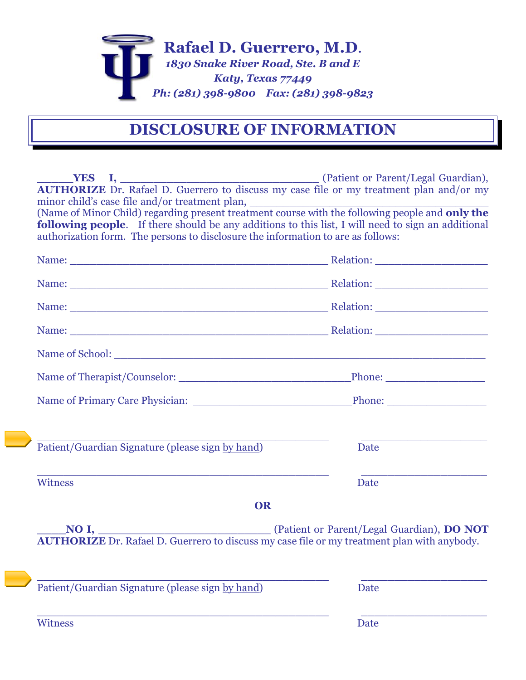

# **DISCLOSURE OF INFORMATION**

|                                                                                                                                                                                                                                                                | <b>The VES I, Construction Constraint Constraint Constraint Constraint Constraint Constraint Constraint Constraint Constraint Constraint Constraint Constraint Constraint Constraint Constraint Constraint Constraint Constraint</b> |  |  |  |  |
|----------------------------------------------------------------------------------------------------------------------------------------------------------------------------------------------------------------------------------------------------------------|--------------------------------------------------------------------------------------------------------------------------------------------------------------------------------------------------------------------------------------|--|--|--|--|
| AUTHORIZE Dr. Rafael D. Guerrero to discuss my case file or my treatment plan and/or my                                                                                                                                                                        |                                                                                                                                                                                                                                      |  |  |  |  |
|                                                                                                                                                                                                                                                                |                                                                                                                                                                                                                                      |  |  |  |  |
| minor child's case file and/or treatment plan, $\Box$<br>(Name of Minor Child) regarding present treatment course with the following people and only the<br>following people. If there should be any additions to this list, I will need to sign an additional |                                                                                                                                                                                                                                      |  |  |  |  |
|                                                                                                                                                                                                                                                                |                                                                                                                                                                                                                                      |  |  |  |  |
|                                                                                                                                                                                                                                                                |                                                                                                                                                                                                                                      |  |  |  |  |
|                                                                                                                                                                                                                                                                |                                                                                                                                                                                                                                      |  |  |  |  |
|                                                                                                                                                                                                                                                                |                                                                                                                                                                                                                                      |  |  |  |  |
|                                                                                                                                                                                                                                                                |                                                                                                                                                                                                                                      |  |  |  |  |
|                                                                                                                                                                                                                                                                |                                                                                                                                                                                                                                      |  |  |  |  |
|                                                                                                                                                                                                                                                                |                                                                                                                                                                                                                                      |  |  |  |  |
|                                                                                                                                                                                                                                                                |                                                                                                                                                                                                                                      |  |  |  |  |
|                                                                                                                                                                                                                                                                |                                                                                                                                                                                                                                      |  |  |  |  |
|                                                                                                                                                                                                                                                                |                                                                                                                                                                                                                                      |  |  |  |  |
|                                                                                                                                                                                                                                                                |                                                                                                                                                                                                                                      |  |  |  |  |
| Patient/Guardian Signature (please sign by hand)                                                                                                                                                                                                               | Date                                                                                                                                                                                                                                 |  |  |  |  |
|                                                                                                                                                                                                                                                                |                                                                                                                                                                                                                                      |  |  |  |  |
| <b>Witness</b>                                                                                                                                                                                                                                                 | Date                                                                                                                                                                                                                                 |  |  |  |  |
| <b>OR</b>                                                                                                                                                                                                                                                      |                                                                                                                                                                                                                                      |  |  |  |  |
|                                                                                                                                                                                                                                                                |                                                                                                                                                                                                                                      |  |  |  |  |
| NO I, (Patient or Parent/Legal Guardian), DO NOT AUTHORIZE Dr. Rafael D. Guerrero to discuss my case file or my treatment plan with anybody.                                                                                                                   |                                                                                                                                                                                                                                      |  |  |  |  |
|                                                                                                                                                                                                                                                                |                                                                                                                                                                                                                                      |  |  |  |  |
|                                                                                                                                                                                                                                                                |                                                                                                                                                                                                                                      |  |  |  |  |
|                                                                                                                                                                                                                                                                |                                                                                                                                                                                                                                      |  |  |  |  |
| Patient/Guardian Signature (please sign by hand)                                                                                                                                                                                                               | <b>Date</b>                                                                                                                                                                                                                          |  |  |  |  |
| Witness                                                                                                                                                                                                                                                        | Date                                                                                                                                                                                                                                 |  |  |  |  |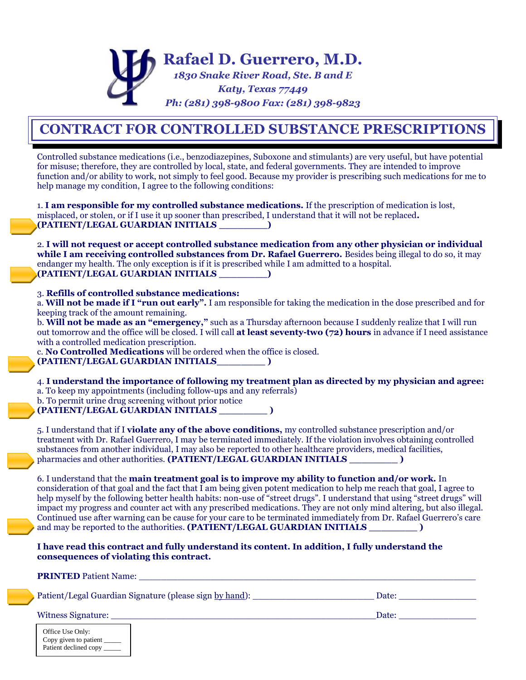

# **CONTRACT FOR CONTROLLED SUBSTANCE PRESCRIPTIONS**

Controlled substance medications (i.e., benzodiazepines, Suboxone and stimulants) are very useful, but have potential for misuse; therefore, they are controlled by local, state, and federal governments. They are intended to improve function and/or ability to work, not simply to feel good. Because my provider is prescribing such medications for me to help manage my condition. I agree to the following conditions:

1. **I am responsible for my controlled substance medications.** If the prescription of medication is lost, misplaced, or stolen, or if I use it up sooner than prescribed, I understand that it will not be replaced**. (PATIENT/LEGAL GUARDIAN INITIALS \_\_\_\_\_\_\_\_)** 

2. **I will not request or accept controlled substance medication from any other physician or individual while I am receiving controlled substances from Dr. Rafael Guerrero.** Besides being illegal to do so, it may endanger my health. The only exception is if it is prescribed while I am admitted to a hospital. **(PATIENT/LEGAL GUARDIAN INITIALS \_\_\_\_\_\_\_\_)** 

### 3. **Refills of controlled substance medications:**

a. **Will not be made if I "run out early".** I am responsible for taking the medication in the dose prescribed and for keeping track of the amount remaining.

b. **Will not be made as an "emergency,"** such as a Thursday afternoon because I suddenly realize that I will run out tomorrow and the office will be closed. I will call **at least seventy-two (72) hours** in advance if I need assistance with a controlled medication prescription.

c. **No Controlled Medications** will be ordered when the office is closed. **(PATIENT/LEGAL GUARDIAN INITIALS\_\_\_\_\_\_\_\_ )** 

4. **I understand the importance of following my treatment plan as directed by my physician and agree:**  a. To keep my appointments (including follow-ups and any referrals)

b. To permit urine drug screening without prior notice

**(PATIENT/LEGAL GUARDIAN INITIALS \_\_\_\_\_\_\_\_ )**

5. I understand that if I **violate any of the above conditions,** my controlled substance prescription and/or treatment with Dr. Rafael Guerrero, I may be terminated immediately. If the violation involves obtaining controlled substances from another individual, I may also be reported to other healthcare providers, medical facilities, pharmacies and other authorities. **(PATIENT/LEGAL GUARDIAN INITIALS \_\_\_\_\_\_\_\_ )** 

6. I understand that the **main treatment goal is to improve my ability to function and/or work.** In consideration of that goal and the fact that I am being given potent medication to help me reach that goal, I agree to help myself by the following better health habits: non-use of "street drugs". I understand that using "street drugs" will impact my progress and counter act with any prescribed medications. They are not only mind altering, but also illegal. Continued use after warning can be cause for your care to be terminated immediately from Dr. Rafael Guerrero's care and may be reported to the authorities. **(PATIENT/LEGAL GUARDIAN INITIALS \_\_\_\_\_\_\_\_ )**

**I have read this contract and fully understand its content. In addition, I fully understand the consequences of violating this contract.** 

**PRINTED** Patient Name:

Patient/Legal Guardian Signature (please sign by hand): \_\_\_\_\_\_\_\_\_\_\_\_\_\_\_\_\_\_\_\_\_\_ Date: \_\_\_\_\_\_\_\_\_\_\_\_\_\_

Witness Signature: \_\_\_\_\_\_\_\_\_\_\_\_\_\_\_\_\_\_\_\_\_\_\_\_\_\_\_\_\_\_\_\_\_\_\_\_\_\_\_\_\_\_\_\_\_\_\_\_Date: \_\_\_\_\_\_\_\_\_\_\_\_\_\_

Office Use Only: Copy given to patient \_\_\_\_\_ Patient declined copy  $\_\_$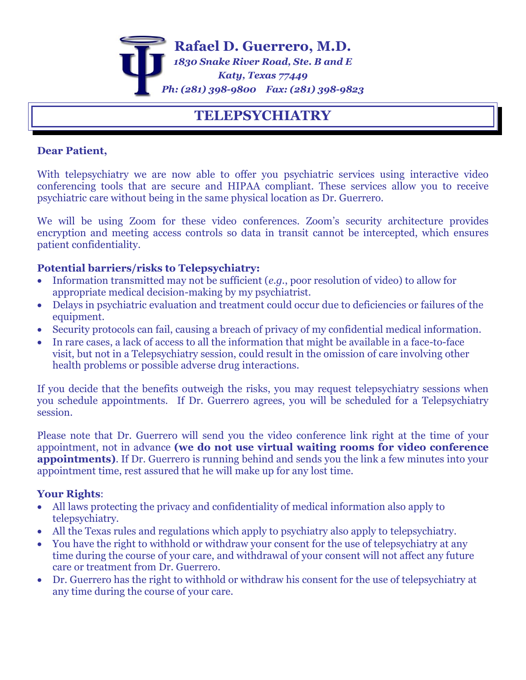

## **TELEPSYCHIATRY**

## **Dear Patient,**

With telepsychiatry we are now able to offer you psychiatric services using interactive video conferencing tools that are secure and HIPAA compliant. These services allow you to receive psychiatric care without being in the same physical location as Dr. Guerrero.

We will be using Zoom for these video conferences. Zoom's security architecture provides encryption and meeting access controls so data in transit cannot be intercepted, which ensures patient confidentiality.

## **Potential barriers/risks to Telepsychiatry:**

- Information transmitted may not be sufficient (*e.g.*, poor resolution of video) to allow for appropriate medical decision-making by my psychiatrist.
- Delays in psychiatric evaluation and treatment could occur due to deficiencies or failures of the equipment.
- Security protocols can fail, causing a breach of privacy of my confidential medical information.
- In rare cases, a lack of access to all the information that might be available in a face-to-face visit, but not in a Telepsychiatry session, could result in the omission of care involving other health problems or possible adverse drug interactions.

If you decide that the benefits outweigh the risks, you may request telepsychiatry sessions when you schedule appointments. If Dr. Guerrero agrees, you will be scheduled for a Telepsychiatry session.

Please note that Dr. Guerrero will send you the video conference link right at the time of your appointment, not in advance **(we do not use virtual waiting rooms for video conference appointments)**. If Dr. Guerrero is running behind and sends you the link a few minutes into your appointment time, rest assured that he will make up for any lost time.

## **Your Rights**:

- All laws protecting the privacy and confidentiality of medical information also apply to telepsychiatry.
- All the Texas rules and regulations which apply to psychiatry also apply to telepsychiatry.
- You have the right to withhold or withdraw your consent for the use of telepsychiatry at any time during the course of your care, and withdrawal of your consent will not affect any future care or treatment from Dr. Guerrero.
- Dr. Guerrero has the right to withhold or withdraw his consent for the use of telepsychiatry at any time during the course of your care.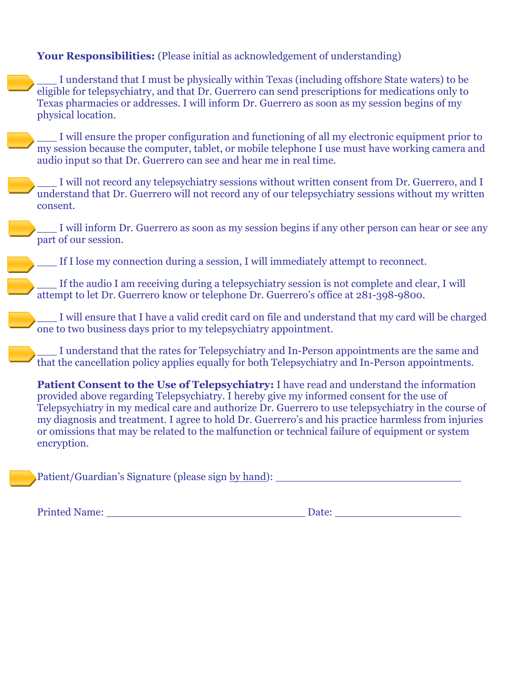## **Your Responsibilities:** (Please initial as acknowledgement of understanding)

\_\_\_ I understand that I must be physically within Texas (including offshore State waters) to be eligible for telepsychiatry, and that Dr. Guerrero can send prescriptions for medications only to Texas pharmacies or addresses. I will inform Dr. Guerrero as soon as my session begins of my physical location.

\_\_\_ I will ensure the proper configuration and functioning of all my electronic equipment prior to my session because the computer, tablet, or mobile telephone I use must have working camera and audio input so that Dr. Guerrero can see and hear me in real time.

I will not record any telepsychiatry sessions without written consent from Dr. Guerrero, and I understand that Dr. Guerrero will not record any of our telepsychiatry sessions without my written consent.

I will inform Dr. Guerrero as soon as my session begins if any other person can hear or see any part of our session.

If I lose my connection during a session, I will immediately attempt to reconnect.

If the audio I am receiving during a telepsychiatry session is not complete and clear, I will attempt to let Dr. Guerrero know or telephone Dr. Guerrero's office at 281-398-9800.

\_\_\_ I will ensure that I have a valid credit card on file and understand that my card will be charged one to two business days prior to my telepsychiatry appointment.

I understand that the rates for Telepsychiatry and In-Person appointments are the same and that the cancellation policy applies equally for both Telepsychiatry and In-Person appointments.

**Patient Consent to the Use of Telepsychiatry:** I have read and understand the information provided above regarding Telepsychiatry. I hereby give my informed consent for the use of Telepsychiatry in my medical care and authorize Dr. Guerrero to use telepsychiatry in the course of my diagnosis and treatment. I agree to hold Dr. Guerrero's and his practice harmless from injuries or omissions that may be related to the malfunction or technical failure of equipment or system encryption.

Patient/Guardian's Signature (please sign by hand):

Printed Name: \_\_\_\_\_\_\_\_\_\_\_\_\_\_\_\_\_\_\_\_\_\_\_\_\_\_\_\_\_\_ Date: \_\_\_\_\_\_\_\_\_\_\_\_\_\_\_\_\_\_\_